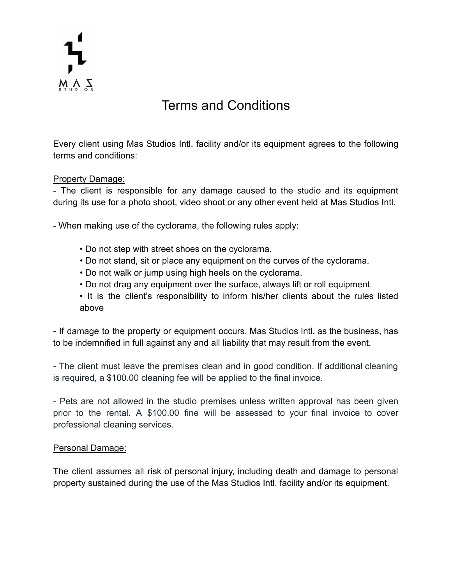

# Terms and Conditions

Every client using Mas Studios Intl. facility and/or its equipment agrees to the following terms and conditions:

## Property Damage:

- The client is responsible for any damage caused to the studio and its equipment during its use for a photo shoot, video shoot or any other event held at Mas Studios Intl.

- When making use of the cyclorama, the following rules apply:

- Do not step with street shoes on the cyclorama.
- Do not stand, sit or place any equipment on the curves of the cyclorama.
- Do not walk or jump using high heels on the cyclorama.
- Do not drag any equipment over the surface, always lift or roll equipment.
- It is the client's responsibility to inform his/her clients about the rules listed above

- If damage to the property or equipment occurs, Mas Studios Intl. as the business, has to be indemnified in full against any and all liability that may result from the event.

- The client must leave the premises clean and in good condition. If additional cleaning is required, a \$100.00 cleaning fee will be applied to the final invoice.

- Pets are not allowed in the studio premises unless written approval has been given prior to the rental. A \$100.00 fine will be assessed to your final invoice to cover professional cleaning services.

### Personal Damage:

The client assumes all risk of personal injury, including death and damage to personal property sustained during the use of the Mas Studios Intl. facility and/or its equipment.